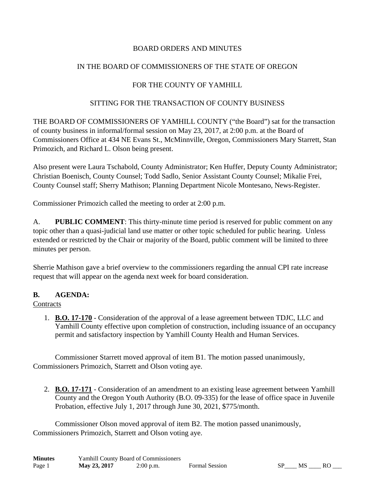## BOARD ORDERS AND MINUTES

## IN THE BOARD OF COMMISSIONERS OF THE STATE OF OREGON

## FOR THE COUNTY OF YAMHILL

### SITTING FOR THE TRANSACTION OF COUNTY BUSINESS

THE BOARD OF COMMISSIONERS OF YAMHILL COUNTY ("the Board") sat for the transaction of county business in informal/formal session on May 23, 2017, at 2:00 p.m. at the Board of Commissioners Office at 434 NE Evans St., McMinnville, Oregon, Commissioners Mary Starrett, Stan Primozich, and Richard L. Olson being present.

Also present were Laura Tschabold, County Administrator; Ken Huffer, Deputy County Administrator; Christian Boenisch, County Counsel; Todd Sadlo, Senior Assistant County Counsel; Mikalie Frei, County Counsel staff; Sherry Mathison; Planning Department Nicole Montesano, News-Register.

Commissioner Primozich called the meeting to order at 2:00 p.m.

A. **PUBLIC COMMENT**: This thirty-minute time period is reserved for public comment on any topic other than a quasi-judicial land use matter or other topic scheduled for public hearing. Unless extended or restricted by the Chair or majority of the Board, public comment will be limited to three minutes per person.

Sherrie Mathison gave a brief overview to the commissioners regarding the annual CPI rate increase request that will appear on the agenda next week for board consideration.

#### **B. AGENDA:**

#### **Contracts**

1. **B.O. 17-170** - Consideration of the approval of a lease agreement between TDJC, LLC and Yamhill County effective upon completion of construction, including issuance of an occupancy permit and satisfactory inspection by Yamhill County Health and Human Services.

 Commissioner Starrett moved approval of item B1. The motion passed unanimously, Commissioners Primozich, Starrett and Olson voting aye.

2. **B.O. 17-171** - Consideration of an amendment to an existing lease agreement between Yamhill County and the Oregon Youth Authority (B.O. 09-335) for the lease of office space in Juvenile Probation, effective July 1, 2017 through June 30, 2021, \$775/month.

 Commissioner Olson moved approval of item B2. The motion passed unanimously, Commissioners Primozich, Starrett and Olson voting aye.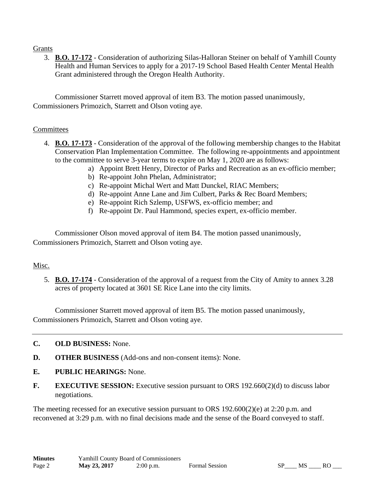### Grants

3. **B.O. 17-172** - Consideration of authorizing Silas-Halloran Steiner on behalf of Yamhill County Health and Human Services to apply for a 2017-19 School Based Health Center Mental Health Grant administered through the Oregon Health Authority.

 Commissioner Starrett moved approval of item B3. The motion passed unanimously, Commissioners Primozich, Starrett and Olson voting aye.

#### **Committees**

- 4. **B.O. 17-173** Consideration of the approval of the following membership changes to the Habitat Conservation Plan Implementation Committee. The following re-appointments and appointment to the committee to serve 3-year terms to expire on May 1, 2020 are as follows:
	- a) Appoint Brett Henry, Director of Parks and Recreation as an ex-officio member;
	- b) Re-appoint John Phelan, Administrator;
	- c) Re-appoint Michal Wert and Matt Dunckel, RIAC Members;
	- d) Re-appoint Anne Lane and Jim Culbert, Parks & Rec Board Members;
	- e) Re-appoint Rich Szlemp, USFWS, ex-officio member; and
	- f) Re-appoint Dr. Paul Hammond, species expert, ex-officio member.

 Commissioner Olson moved approval of item B4. The motion passed unanimously, Commissioners Primozich, Starrett and Olson voting aye.

#### Misc.

5. **B.O. 17-174** - Consideration of the approval of a request from the City of Amity to annex 3.28 acres of property located at 3601 SE Rice Lane into the city limits.

 Commissioner Starrett moved approval of item B5. The motion passed unanimously, Commissioners Primozich, Starrett and Olson voting aye.

- **C. OLD BUSINESS:** None.
- **D. OTHER BUSINESS** (Add-ons and non-consent items): None.
- **E. PUBLIC HEARINGS:** None.
- **F. EXECUTIVE SESSION:** Executive session pursuant to ORS 192.660(2)(d) to discuss labor negotiations.

The meeting recessed for an executive session pursuant to ORS 192.600(2)(e) at 2:20 p.m. and reconvened at 3:29 p.m. with no final decisions made and the sense of the Board conveyed to staff.